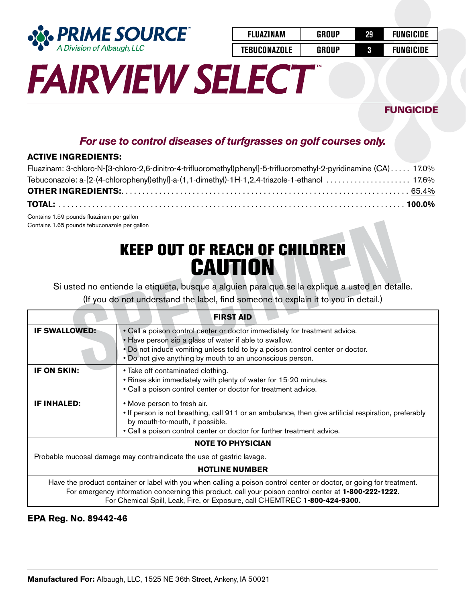

| <b>FLUAZINAM</b>    | <b>GROUP</b> | 29 | <b>FUNGICIDE</b> |
|---------------------|--------------|----|------------------|
| <b>TEBUCONAZOLE</b> | GROUP        | 3  | <b>FUNGICIDE</b> |

## **FUNGICIDE**

## *For use to control diseases of turfgrasses on golf courses only.*

### **ACTIVE INGREDIENTS:**

| Fluazinam: 3-chloro-N-[3-chloro-2,6-dinitro-4-trifluoromethyl)phenyl]-5-trifluoromethyl-2-pyridinamine (CA) 17.0% |  |
|-------------------------------------------------------------------------------------------------------------------|--|
|                                                                                                                   |  |
|                                                                                                                   |  |
|                                                                                                                   |  |

Contains 1.59 pounds fluazinam per gallon Contains 1.65 pounds tebuconazole per gallon

## KEEP OUT OF REACH OF CHILDREN **CAUTION**

| Contains 1.65 pounds tebuconazole per gallon |                                                                                                                                                                                                                                                                                                             |
|----------------------------------------------|-------------------------------------------------------------------------------------------------------------------------------------------------------------------------------------------------------------------------------------------------------------------------------------------------------------|
|                                              | <b>KEEP OUT OF REACH OF CHILDREN</b><br><b>CAUTION</b><br>Si usted no entiende la etiqueta, busque a alguien para que se la explique a usted en detalle.<br>(If you do not understand the label, find someone to explain it to you in detail.)                                                              |
|                                              | <b>FIRST AID</b>                                                                                                                                                                                                                                                                                            |
| <b>IF SWALLOWED:</b>                         | • Call a poison control center or doctor immediately for treatment advice.<br>• Have person sip a glass of water if able to swallow.<br>. Do not induce vomiting unless told to by a poison control center or doctor.<br>. Do not give anything by mouth to an unconscious person.                          |
| IF ON SKIN:                                  | • Take off contaminated clothing.<br>. Rinse skin immediately with plenty of water for 15-20 minutes.<br>• Call a poison control center or doctor for treatment advice.                                                                                                                                     |
| <b>IF INHALED:</b>                           | • Move person to fresh air.<br>• If person is not breathing, call 911 or an ambulance, then give artificial respiration, preferably<br>by mouth-to-mouth, if possible.<br>. Call a poison control center or doctor for further treatment advice.                                                            |
|                                              | <b>NOTE TO PHYSICIAN</b>                                                                                                                                                                                                                                                                                    |
|                                              | Probable mucosal damage may contraindicate the use of gastric lavage.                                                                                                                                                                                                                                       |
|                                              | <b>HOTLINE NUMBER</b>                                                                                                                                                                                                                                                                                       |
|                                              | Have the product container or label with you when calling a poison control center or doctor, or going for treatment.<br>For emergency information concerning this product, call your poison control center at 1-800-222-1222.<br>For Chemical Spill, Leak, Fire, or Exposure, call CHEMTREC 1-800-424-9300. |

### **EPA Reg. No. 89442-46**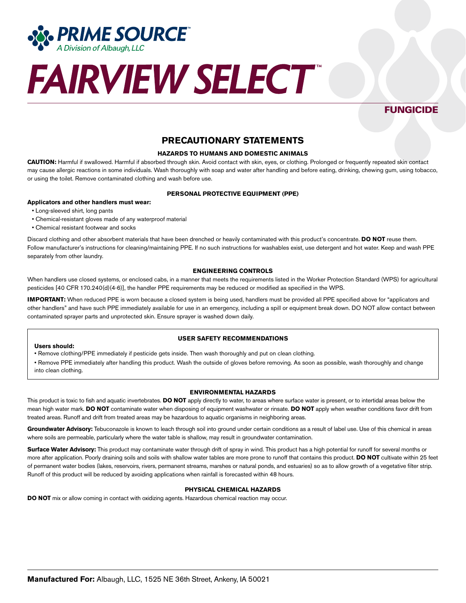

## **FUNGICIDE**

### **PRECAUTIONARY STATEMENTS**

#### **HAZARDS TO HUMANS AND DOMESTIC ANIMALS**

**CAUTION:** Harmful if swallowed. Harmful if absorbed through skin. Avoid contact with skin, eyes, or clothing. Prolonged or frequently repeated skin contact may cause allergic reactions in some individuals. Wash thoroughly with soap and water after handling and before eating, drinking, chewing gum, using tobacco, or using the toilet. Remove contaminated clothing and wash before use.

#### **PERSONAL PROTECTIVE EQUIPMENT (PPE)**

#### **Applicators and other handlers must wear:**

- Long-sleeved shirt, long pants
- Chemical-resistant gloves made of any waterproof material
- Chemical resistant footwear and socks

Discard clothing and other absorbent materials that have been drenched or heavily contaminated with this product's concentrate. **DO NOT** reuse them. Follow manufacturer's instructions for cleaning/maintaining PPE. If no such instructions for washables exist, use detergent and hot water. Keep and wash PPE separately from other laundry.

#### **ENGINEERING CONTROLS**

When handlers use closed systems, or enclosed cabs, in a manner that meets the requirements listed in the Worker Protection Standard (WPS) for agricultural pesticides [40 CFR 170.240(d)(4-6)], the handler PPE requirements may be reduced or modified as specified in the WPS.

**IMPORTANT:** When reduced PPE is worn because a closed system is being used, handlers must be provided all PPE specified above for "applicators and other handlers" and have such PPE immediately available for use in an emergency, including a spill or equipment break down. DO NOT allow contact between contaminated sprayer parts and unprotected skin. Ensure sprayer is washed down daily.

#### **USER SAFETY RECOMMENDATIONS**

#### **Users should:**

• Remove clothing/PPE immediately if pesticide gets inside. Then wash thoroughly and put on clean clothing.

• Remove PPE immediately after handling this product. Wash the outside of gloves before removing. As soon as possible, wash thoroughly and change into clean clothing.

#### **ENVIRONMENTAL HAZARDS**

This product is toxic to fish and aquatic invertebrates. **DO NOT** apply directly to water, to areas where surface water is present, or to intertidal areas below the mean high water mark. **DO NOT** contaminate water when disposing of equipment washwater or rinsate. **DO NOT** apply when weather conditions favor drift from treated areas. Runoff and drift from treated areas may be hazardous to aquatic organisms in neighboring areas.

Groundwater Advisory: Tebuconazole is known to leach through soil into ground under certain conditions as a result of label use. Use of this chemical in areas where soils are permeable, particularly where the water table is shallow, may result in groundwater contamination.

**Surface Water Advisory:** This product may contaminate water through drift of spray in wind. This product has a high potential for runoff for several months or more after application. Poorly draining soils and soils with shallow water tables are more prone to runoff that contains this product. **DO NOT** cultivate within 25 feet of permanent water bodies (lakes, reservoirs, rivers, permanent streams, marshes or natural ponds, and estuaries) so as to allow growth of a vegetative filter strip. Runoff of this product will be reduced by avoiding applications when rainfall is forecasted within 48 hours.

#### **PHYSICAL CHEMICAL HAZARDS**

**DO NOT** mix or allow coming in contact with oxidizing agents. Hazardous chemical reaction may occur.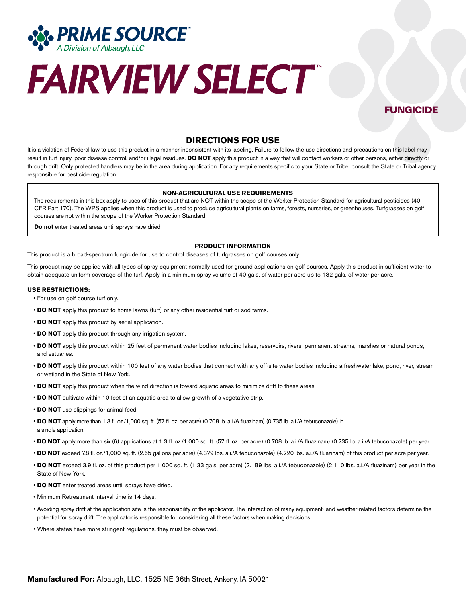

## **FUNGICIDE**

### **DIRECTIONS FOR USE**

It is a violation of Federal law to use this product in a manner inconsistent with its labeling. Failure to follow the use directions and precautions on this label may result in turf injury, poor disease control, and/or illegal residues. **DO NOT** apply this product in a way that will contact workers or other persons, either directly or through drift. Only protected handlers may be in the area during application. For any requirements specific to your State or Tribe, consult the State or Tribal agency responsible for pesticide regulation.

#### **NON-AGRICULTURAL USE REQUIREMENTS**

The requirements in this box apply to uses of this product that are NOT within the scope of the Worker Protection Standard for agricultural pesticides (40 CFR Part 170). The WPS applies when this product is used to produce agricultural plants on farms, forests, nurseries, or greenhouses. Turfgrasses on golf courses are not within the scope of the Worker Protection Standard.

**Do not** enter treated areas until sprays have dried.

#### **PRODUCT INFORMATION**

This product is a broad-spectrum fungicide for use to control diseases of turfgrasses on golf courses only.

This product may be applied with all types of spray equipment normally used for ground applications on golf courses. Apply this product in sufficient water to obtain adequate uniform coverage of the turf. Apply in a minimum spray volume of 40 gals. of water per acre up to 132 gals. of water per acre.

#### **USE RESTRICTIONS:**

- For use on golf course turf only.
- **DO NOT** apply this product to home lawns (turf) or any other residential turf or sod farms.
- **DO NOT** apply this product by aerial application.
- **DO NOT** apply this product through any irrigation system.
- **DO NOT** apply this product within 25 feet of permanent water bodies including lakes, reservoirs, rivers, permanent streams, marshes or natural ponds, and estuaries.
- **DO NOT** apply this product within 100 feet of any water bodies that connect with any off-site water bodies including a freshwater lake, pond, river, stream or wetland in the State of New York.
- **DO NOT** apply this product when the wind direction is toward aquatic areas to minimize drift to these areas.
- **DO NOT** cultivate within 10 feet of an aquatic area to allow growth of a vegetative strip.
- **DO NOT** use clippings for animal feed.
- **DO NOT** apply more than 1.3 fl. oz./1,000 sq. ft. (57 fl. oz. per acre) (0.708 lb. a.i./A fluazinam) (0.735 lb. a.i./A tebuconazole) in a single application.
- **DO NOT** apply more than six (6) applications at 1.3 fl. oz./1,000 sq. ft. (57 fl. oz. per acre) (0.708 lb. a.i./A fluazinam) (0.735 lb. a.i./A tebuconazole) per year.
- **DO NOT** exceed 7.8 fl. oz./1,000 sq. ft. (2.65 gallons per acre) (4.379 lbs. a.i./A tebuconazole) (4.220 lbs. a.i./A fluazinam) of this product per acre per year.
- **DO NOT** exceed 3.9 fl. oz. of this product per 1,000 sq. ft. (1.33 gals. per acre) (2.189 lbs. a.i./A tebuconazole) (2.110 lbs. a.i./A fluazinam) per year in the State of New York.
- **DO NOT** enter treated areas until sprays have dried.
- Minimum Retreatment Interval time is 14 days.
- Avoiding spray drift at the application site is the responsibility of the applicator. The interaction of many equipment- and weather-related factors determine the potential for spray drift. The applicator is responsible for considering all these factors when making decisions.
- Where states have more stringent regulations, they must be observed.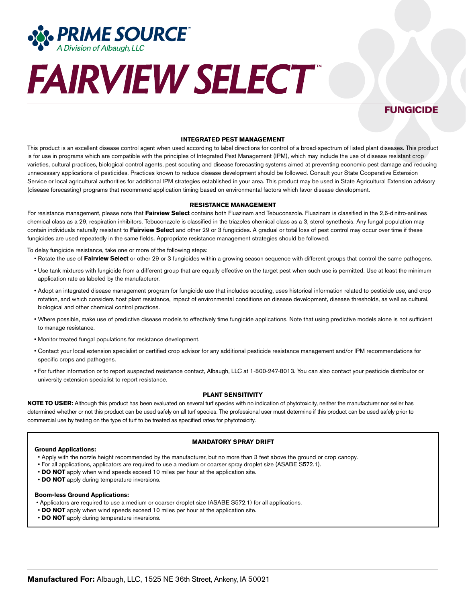

### **FUNGICIDE**

#### **INTEGRATED PEST MANAGEMENT**

This product is an excellent disease control agent when used according to label directions for control of a broad-spectrum of listed plant diseases. This product is for use in programs which are compatible with the principles of Integrated Pest Management (IPM), which may include the use of disease resistant crop varieties, cultural practices, biological control agents, pest scouting and disease forecasting systems aimed at preventing economic pest damage and reducing unnecessary applications of pesticides. Practices known to reduce disease development should be followed. Consult your State Cooperative Extension Service or local agricultural authorities for additional IPM strategies established in your area. This product may be used in State Agricultural Extension advisory (disease forecasting) programs that recommend application timing based on environmental factors which favor disease development.

#### **RESISTANCE MANAGEMENT**

For resistance management, please note that **Fairview Select** contains both Fluazinam and Tebuconazole. Fluazinam is classified in the 2,6-dinitro-anilines chemical class as a 29, respiration inhibitors. Tebuconazole is classified in the triazoles chemical class as a 3, sterol synethesis. Any fungal population may contain individuals naturally resistant to **Fairview Select** and other 29 or 3 fungicides. A gradual or total loss of pest control may occur over time if these fungicides are used repeatedly in the same fields. Appropriate resistance management strategies should be followed.

To delay fungicide resistance, take one or more of the following steps:

- Rotate the use of **Fairview Select** or other 29 or 3 fungicides within a growing season sequence with different groups that control the same pathogens.
- Use tank mixtures with fungicide from a different group that are equally effective on the target pest when such use is permitted. Use at least the minimum application rate as labeled by the manufacturer.
- Adopt an integrated disease management program for fungicide use that includes scouting, uses historical information related to pesticide use, and crop rotation, and which considers host plant resistance, impact of environmental conditions on disease development, disease thresholds, as well as cultural, biological and other chemical control practices.
- Where possible, make use of predictive disease models to effectively time fungicide applications. Note that using predictive models alone is not sufficient to manage resistance.
- Monitor treated fungal populations for resistance development.
- Contact your local extension specialist or certified crop advisor for any additional pesticide resistance management and/or IPM recommendations for specific crops and pathogens.
- For further information or to report suspected resistance contact, Albaugh, LLC at 1-800-247-8013. You can also contact your pesticide distributor or university extension specialist to report resistance.

#### **PLANT SENSITIVITY**

**NOTE TO USER:** Although this product has been evaluated on several turf species with no indication of phytotoxicity, neither the manufacturer nor seller has determined whether or not this product can be used safely on all turf species. The professional user must determine if this product can be used safely prior to commercial use by testing on the type of turf to be treated as specified rates for phytotoxicity.

#### **Ground Applications:**

#### **MANDATORY SPRAY DRIFT**

- Apply with the nozzle height recommended by the manufacturer, but no more than 3 feet above the ground or crop canopy.
- For all applications, applicators are required to use a medium or coarser spray droplet size (ASABE S572.1).
- **DO NOT** apply when wind speeds exceed 10 miles per hour at the application site.
- **DO NOT** apply during temperature inversions.

#### **Boom-less Ground Applications:**

- Applicators are required to use a medium or coarser droplet size (ASABE S572.1) for all applications.
- **DO NOT** apply when wind speeds exceed 10 miles per hour at the application site.
- **DO NOT** apply during temperature inversions.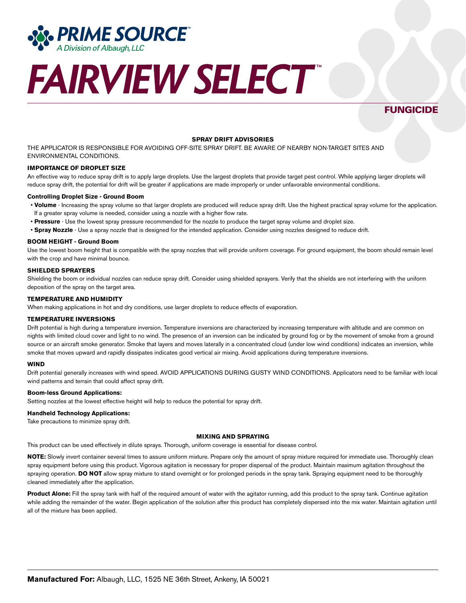

## **FUNGICIDE**

#### **SPRAY DRIFT ADVISORIES**

THE APPLICATOR IS RESPONSIBLE FOR AVOIDING OFF-SITE SPRAY DRIFT. BE AWARE OF NEARBY NON-TARGET SITES AND ENVIRONMENTAL CONDITIONS.

#### **IMPORTANCE OF DROPLET SIZE**

An effective way to reduce spray drift is to apply large droplets. Use the largest droplets that provide target pest control. While applying larger droplets will reduce spray drift, the potential for drift will be greater if applications are made improperly or under unfavorable environmental conditions.

#### **Controlling Droplet Size - Ground Boom**

- **Volume** Increasing the spray volume so that larger droplets are produced will reduce spray drift. Use the highest practical spray volume for the application. If a greater spray volume is needed, consider using a nozzle with a higher flow rate.
- **Pressure** Use the lowest spray pressure recommended for the nozzle to produce the target spray volume and droplet size.
- **Spray Nozzle** Use a spray nozzle that is designed for the intended application. Consider using nozzles designed to reduce drift.

#### **BOOM HEIGHT - Ground Boom**

Use the lowest boom height that is compatible with the spray nozzles that will provide uniform coverage. For ground equipment, the boom should remain level with the crop and have minimal bounce.

#### **SHIELDED SPRAYERS**

Shielding the boom or individual nozzles can reduce spray drift. Consider using shielded sprayers. Verify that the shields are not interfering with the uniform deposition of the spray on the target area.

#### **TEMPERATURE AND HUMIDITY**

When making applications in hot and dry conditions, use larger droplets to reduce effects of evaporation.

#### **TEMPERATURE INVERSIONS**

Drift potential is high during a temperature inversion. Temperature inversions are characterized by increasing temperature with altitude and are common on nights with limited cloud cover and light to no wind. The presence of an inversion can be indicated by ground fog or by the movement of smoke from a ground source or an aircraft smoke generator. Smoke that layers and moves laterally in a concentrated cloud (under low wind conditions) indicates an inversion, while smoke that moves upward and rapidly dissipates indicates good vertical air mixing. Avoid applications during temperature inversions.

#### **WIND**

Drift potential generally increases with wind speed. AVOID APPLICATIONS DURING GUSTY WIND CONDITIONS. Applicators need to be familiar with local wind patterns and terrain that could affect spray drift.

#### **Boom-less Ground Applications:**

Setting nozzles at the lowest effective height will help to reduce the potential for spray drift.

#### **Handheld Technology Applications:**

Take precautions to minimize spray drift.

#### **MIXING AND SPRAYING**

This product can be used effectively in dilute sprays. Thorough, uniform coverage is essential for disease control.

**NOTE:** Slowly invert container several times to assure uniform mixture. Prepare only the amount of spray mixture required for immediate use. Thoroughly clean spray equipment before using this product. Vigorous agitation is necessary for proper dispersal of the product. Maintain maximum agitation throughout the spraying operation. **DO NOT** allow spray mixture to stand overnight or for prolonged periods in the spray tank. Spraying equipment need to be thoroughly cleaned immediately after the application.

**Product Alone:** Fill the spray tank with half of the required amount of water with the agitator running, add this product to the spray tank. Continue agitation while adding the remainder of the water. Begin application of the solution after this product has completely dispersed into the mix water. Maintain agitation until all of the mixture has been applied.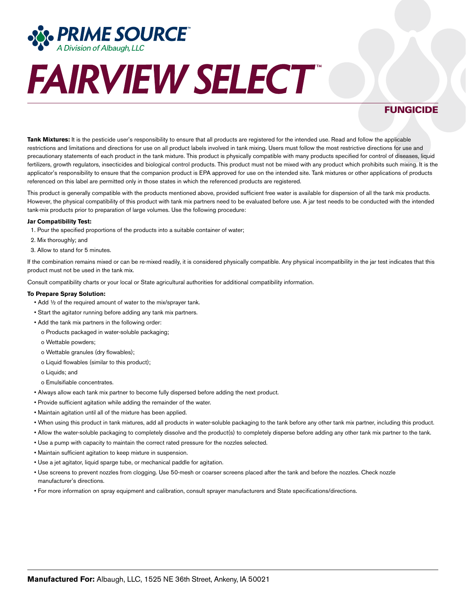

## **FUNGICIDE**

**Tank Mixtures:** It is the pesticide user's responsibility to ensure that all products are registered for the intended use. Read and follow the applicable restrictions and limitations and directions for use on all product labels involved in tank mixing. Users must follow the most restrictive directions for use and precautionary statements of each product in the tank mixture. This product is physically compatible with many products specified for control of diseases, liquid fertilizers, growth regulators, insecticides and biological control products. This product must not be mixed with any product which prohibits such mixing. It is the applicator's responsibility to ensure that the companion product is EPA approved for use on the intended site. Tank mixtures or other applications of products referenced on this label are permitted only in those states in which the referenced products are registered.

This product is generally compatible with the products mentioned above, provided sufficient free water is available for dispersion of all the tank mix products. However, the physical compatibility of this product with tank mix partners need to be evaluated before use. A jar test needs to be conducted with the intended tank-mix products prior to preparation of large volumes. Use the following procedure:

#### **Jar Compatibility Test:**

- 1. Pour the specified proportions of the products into a suitable container of water;
- 2. Mix thoroughly; and
- 3. Allow to stand for 5 minutes.

If the combination remains mixed or can be re-mixed readily, it is considered physically compatible. Any physical incompatibility in the jar test indicates that this product must not be used in the tank mix.

Consult compatibility charts or your local or State agricultural authorities for additional compatibility information.

#### **To Prepare Spray Solution:**

- Add ½ of the required amount of water to the mix/sprayer tank.
- Start the agitator running before adding any tank mix partners.
- Add the tank mix partners in the following order:
	- o Products packaged in water-soluble packaging;
	- o Wettable powders;
	- o Wettable granules (dry flowables);
	- o Liquid flowables (similar to this product);
	- o Liquids; and
	- o Emulsifiable concentrates.
- Always allow each tank mix partner to become fully dispersed before adding the next product.
- Provide sufficient agitation while adding the remainder of the water.
- Maintain agitation until all of the mixture has been applied.
- When using this product in tank mixtures, add all products in water-soluble packaging to the tank before any other tank mix partner, including this product.
- Allow the water-soluble packaging to completely dissolve and the product(s) to completely disperse before adding any other tank mix partner to the tank.
- Use a pump with capacity to maintain the correct rated pressure for the nozzles selected.
- Maintain sufficient agitation to keep mixture in suspension.
- Use a jet agitator, liquid sparge tube, or mechanical paddle for agitation.
- Use screens to prevent nozzles from clogging. Use 50-mesh or coarser screens placed after the tank and before the nozzles. Check nozzle manufacturer's directions.
- For more information on spray equipment and calibration, consult sprayer manufacturers and State specifications/directions.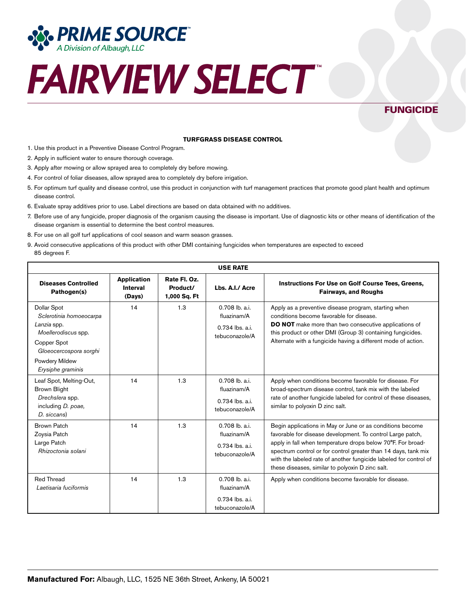

## **FUNGICIDE**

#### **TURFGRASS DISEASE CONTROL**

- 1. Use this product in a Preventive Disease Control Program.
- 2. Apply in sufficient water to ensure thorough coverage.
- 3. Apply after mowing or allow sprayed area to completely dry before mowing.
- 4. For control of foliar diseases, allow sprayed area to completely dry before irrigation.
- 5. For optimum turf quality and disease control, use this product in conjunction with turf management practices that promote good plant health and optimum disease control.
- 6. Evaluate spray additives prior to use. Label directions are based on data obtained with no additives.
- 7. Before use of any fungicide, proper diagnosis of the organism causing the disease is important. Use of diagnostic kits or other means of identification of the disease organism is essential to determine the best control measures.
- 8. For use on all golf turf applications of cool season and warm season grasses.
- 9. Avoid consecutive applications of this product with other DMI containing fungicides when temperatures are expected to exceed 85 degrees F.

| <b>USE RATE</b>                                                                                                                                              |                                                 |                                          |                                                                      |                                                                                                                                                                                                                                                                                                                                                                                   |
|--------------------------------------------------------------------------------------------------------------------------------------------------------------|-------------------------------------------------|------------------------------------------|----------------------------------------------------------------------|-----------------------------------------------------------------------------------------------------------------------------------------------------------------------------------------------------------------------------------------------------------------------------------------------------------------------------------------------------------------------------------|
| <b>Diseases Controlled</b><br>Pathogen(s)                                                                                                                    | <b>Application</b><br><b>Interval</b><br>(Days) | Rate Fl. Oz.<br>Product/<br>1,000 Sq. Ft | Lbs. A.I./ Acre                                                      | Instructions For Use on Golf Course Tees, Greens,<br><b>Fairways, and Roughs</b>                                                                                                                                                                                                                                                                                                  |
| Dollar Spot<br>Sclerotinia homoeocarpa<br>Lanzia spp.<br>Moellerodiscus spp.<br>Copper Spot<br>Gloeocercospora sorghi<br>Powdery Mildew<br>Erysiphe graminis | 14                                              | 1.3                                      | 0.708 lb. a.i.<br>fluazinam/A<br>0.734 lbs. a.i.<br>tebuconazole/A   | Apply as a preventive disease program, starting when<br>conditions become favorable for disease.<br><b>DO NOT</b> make more than two consecutive applications of<br>this product or other DMI (Group 3) containing fungicides.<br>Alternate with a fungicide having a different mode of action.                                                                                   |
| Leaf Spot, Melting-Out,<br><b>Brown Blight</b><br>Drechslera spp.<br>including D. poae,<br>D. siccans)                                                       | 14                                              | 1.3                                      | 0.708 lb. a.i.<br>fluazinam/A<br>0.734 lbs. a.i.<br>tebuconazole/A   | Apply when conditions become favorable for disease. For<br>broad-spectrum disease control, tank mix with the labeled<br>rate of another fungicide labeled for control of these diseases,<br>similar to polyoxin D zinc salt.                                                                                                                                                      |
| <b>Brown Patch</b><br>Zoysia Patch<br>Large Patch<br>Rhizoctonia solani                                                                                      | 14                                              | 1.3                                      | $0.708$ lb. a.i.<br>fluazinam/A<br>0.734 lbs. a.i.<br>tebuconazole/A | Begin applications in May or June or as conditions become<br>favorable for disease development. To control Large patch,<br>apply in fall when temperature drops below 70°F. For broad-<br>spectrum control or for control greater than 14 days, tank mix<br>with the labeled rate of another fungicide labeled for control of<br>these diseases, similar to polyoxin D zinc salt. |
| <b>Red Thread</b><br>Laetisaria fuciformis                                                                                                                   | 14                                              | 1.3                                      | 0.708 lb. a.i.<br>fluazinam/A<br>0.734 lbs. a.i.<br>tebuconazole/A   | Apply when conditions become favorable for disease.                                                                                                                                                                                                                                                                                                                               |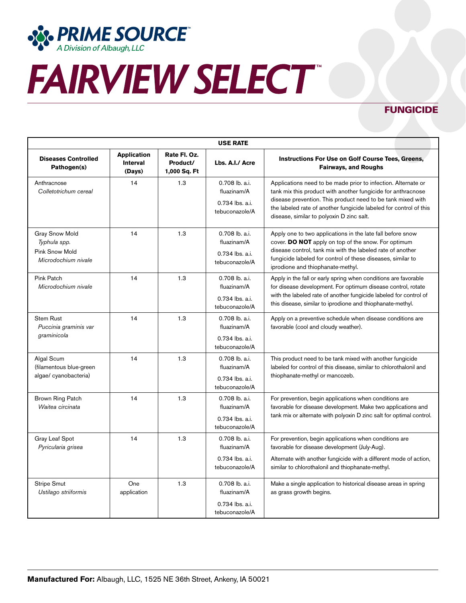

## **FUNGICIDE**

| <b>USE RATE</b>                                                                |                                                 |                                          |                                                                    |                                                                                                                                                                                                                                                                                                                |
|--------------------------------------------------------------------------------|-------------------------------------------------|------------------------------------------|--------------------------------------------------------------------|----------------------------------------------------------------------------------------------------------------------------------------------------------------------------------------------------------------------------------------------------------------------------------------------------------------|
| <b>Diseases Controlled</b><br>Pathogen(s)                                      | <b>Application</b><br><b>Interval</b><br>(Days) | Rate Fl. Oz.<br>Product/<br>1,000 Sq. Ft | Lbs. A.I./ Acre                                                    | Instructions For Use on Golf Course Tees, Greens,<br><b>Fairways, and Roughs</b>                                                                                                                                                                                                                               |
| Anthracnose<br>Colletotrichum cereal                                           | 14                                              | 1.3                                      | 0.708 lb. a.i.<br>fluazinam/A<br>0.734 lbs. a.i.<br>tebuconazole/A | Applications need to be made prior to infection. Alternate or<br>tank mix this product with another fungicide for anthracnose<br>disease prevention. This product need to be tank mixed with<br>the labeled rate of another fungicide labeled for control of this<br>disease, similar to polyoxin D zinc salt. |
| <b>Gray Snow Mold</b><br>Typhula spp.<br>Pink Snow Mold<br>Microdochium nivale | 14                                              | 1.3                                      | 0.708 lb. a.i.<br>fluazinam/A<br>0.734 lbs. a.i.<br>tebuconazole/A | Apply one to two applications in the late fall before snow<br>cover. DO NOT apply on top of the snow. For optimum<br>disease control, tank mix with the labeled rate of another<br>fungicide labeled for control of these diseases, similar to<br>iprodione and thiophanate-methyl.                            |
| <b>Pink Patch</b><br>Microdochium nivale                                       | 14                                              | 1.3                                      | 0.708 lb. a.i.<br>fluazinam/A<br>0.734 lbs. a.i.<br>tebuconazole/A | Apply in the fall or early spring when conditions are favorable<br>for disease development. For optimum disease control, rotate<br>with the labeled rate of another fungicide labeled for control of<br>this disease, similar to iprodione and thiophanate-methyl.                                             |
| <b>Stem Rust</b><br>Puccinia graminis var<br>graminicola                       | 14                                              | 1.3                                      | 0.708 lb. a.i.<br>fluazinam/A<br>0.734 lbs. a.i.<br>tebuconazole/A | Apply on a preventive schedule when disease conditions are<br>favorable (cool and cloudy weather).                                                                                                                                                                                                             |
| Algal Scum<br>(filamentous blue-green<br>algae/cyanobacteria)                  | 14                                              | 1.3                                      | 0.708 lb. a.i.<br>fluazinam/A<br>0.734 lbs. a.i.<br>tebuconazole/A | This product need to be tank mixed with another fungicide<br>labeled for control of this disease, similar to chlorothalonil and<br>thiophanate-methyl or mancozeb.                                                                                                                                             |
| Brown Ring Patch<br>Waitea circinata                                           | 14                                              | 1.3                                      | 0.708 lb. a.i.<br>fluazinam/A<br>0.734 lbs. a.i.<br>tebuconazole/A | For prevention, begin applications when conditions are<br>favorable for disease development. Make two applications and<br>tank mix or alternate with polyoxin D zinc salt for optimal control.                                                                                                                 |
| Gray Leaf Spot<br>Pyricularia grisea                                           | 14                                              | 1.3                                      | 0.708 lb. a.i.<br>fluazinam/A<br>0.734 lbs. a.i.<br>tebuconazole/A | For prevention, begin applications when conditions are<br>favorable for disease development (July-Aug).<br>Alternate with another fungicide with a different mode of action,<br>similar to chlorothalonil and thiophanate-methyl.                                                                              |
| <b>Stripe Smut</b><br>Ustilago striiformis                                     | One<br>application                              | 1.3                                      | 0.708 lb. a.i.<br>fluazinam/A<br>0.734 lbs. a.i.<br>tebuconazole/A | Make a single application to historical disease areas in spring<br>as grass growth begins.                                                                                                                                                                                                                     |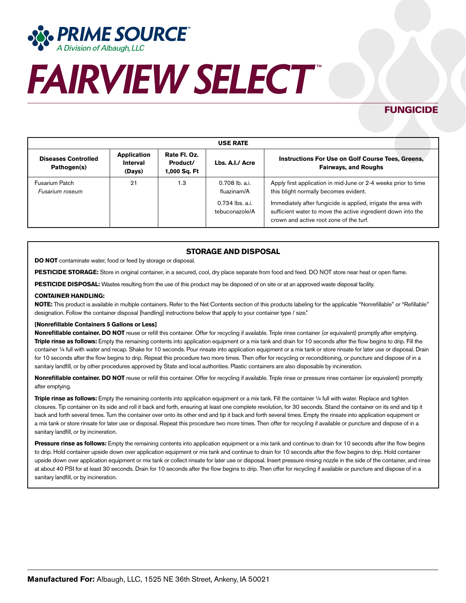

## **FUNGICIDE**

| <b>USE RATE</b>                           |                                   |                                          |                                                                      |                                                                                                                                                                                                                                                                                      |  |
|-------------------------------------------|-----------------------------------|------------------------------------------|----------------------------------------------------------------------|--------------------------------------------------------------------------------------------------------------------------------------------------------------------------------------------------------------------------------------------------------------------------------------|--|
| <b>Diseases Controlled</b><br>Pathogen(s) | Application<br>Interval<br>(Days) | Rate Fl. Oz.<br>Product/<br>1,000 Sq. Ft | Lbs. A.I./ Acre                                                      | Instructions For Use on Golf Course Tees, Greens,<br><b>Fairways, and Roughs</b>                                                                                                                                                                                                     |  |
| Fusarium Patch<br>Fusarium roseum         | 21                                | 1.3                                      | $0.708$ lb. a.i.<br>fluazinam/A<br>0.734 lbs. a.i.<br>tebuconazole/A | Apply first application in mid-June or 2-4 weeks prior to time<br>this blight normally becomes evident.<br>Immediately after fungicide is applied, irrigate the area with<br>sufficient water to move the active ingredient down into the<br>crown and active root zone of the turf. |  |

### **STORAGE AND DISPOSAL**

**DO NOT** contaminate water, food or feed by storage or disposal.

**PESTICIDE STORAGE:** Store in original container, in a secured, cool, dry place separate from food and feed. DO NOT store near heat or open flame.

PESTICIDE DISPOSAL: Wastes resulting from the use of this product may be disposed of on site or at an approved waste disposal facility.

#### **CONTAINER HANDLING:**

**NOTE:** This product is available in multiple containers. Refer to the Net Contents section of this products labeling for the applicable "Nonrefillable" or "Refillable" designation. Follow the container disposal [handling] instructions below that apply to your container type / size."

#### **[Nonrefillable Containers 5 Gallons or Less]**

**Nonrefillable container. DO NOT** reuse or refill this container. Offer for recycling if available. Triple rinse container (or equivalent) promptly after emptying. **Triple rinse as follows:** Empty the remaining contents into application equipment or a mix tank and drain for 10 seconds after the flow begins to drip. Fill the container 1/4 full with water and recap. Shake for 10 seconds. Pour rinsate into application equipment or a mix tank or store rinsate for later use or disposal. Drain for 10 seconds after the flow begins to drip. Repeat this procedure two more times. Then offer for recycling or reconditioning, or puncture and dispose of in a sanitary landfill, or by other procedures approved by State and local authorities. Plastic containers are also disposable by incineration.

**Nonrefillable container. DO NOT** reuse or refill this container. Offer for recycling if available. Triple rinse or pressure rinse container (or equivalent) promptly after emptying.

**Triple rinse as follows:** Empty the remaining contents into application equipment or a mix tank. Fill the container 1/4 full with water. Replace and tighten closures. Tip container on its side and roll it back and forth, ensuring at least one complete revolution, for 30 seconds. Stand the container on its end and tip it back and forth several times. Turn the container over onto its other end and tip it back and forth several times. Empty the rinsate into application equipment or a mix tank or store rinsate for later use or disposal. Repeat this procedure two more times. Then offer for recycling if available or puncture and dispose of in a sanitary landfill, or by incineration.

**Pressure rinse as follows:** Empty the remaining contents into application equipment or a mix tank and continue to drain for 10 seconds after the flow begins to drip. Hold container upside down over application equipment or mix tank and continue to drain for 10 seconds after the flow begins to drip. Hold container upside down over application equipment or mix tank or collect rinsate for later use or disposal. Insert pressure rinsing nozzle in the side of the container, and rinse at about 40 PSI for at least 30 seconds. Drain for 10 seconds after the flow begins to drip. Then offer for recycling if available or puncture and dispose of in a sanitary landfill, or by incineration.